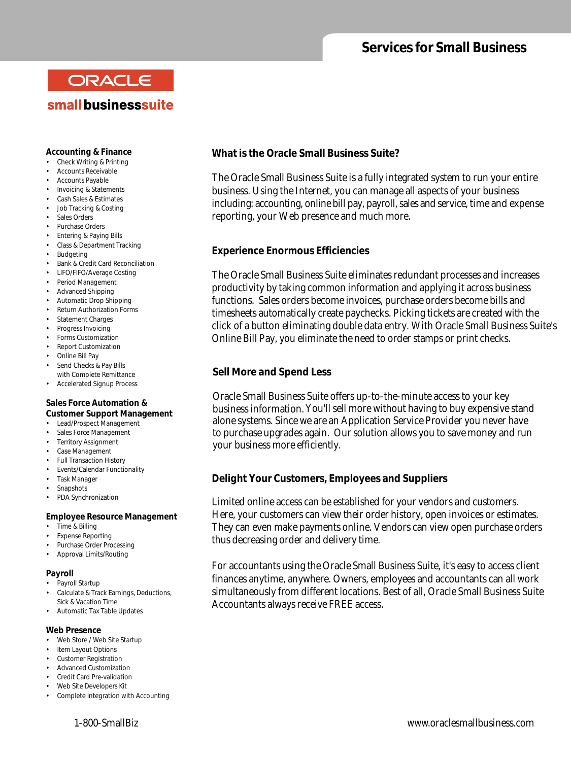# **Services for Small Business**

# ORACLE small businesssuite

### **Accounting & Finance**

- Check Writing & Printing
- Accounts Receivable
- Accounts Payable
- Invoicing & Statements
- Cash Sales & Estimates
- Job Tracking & Costing
- Sales Orders
- Purchase Orders
- Entering & Paying Bills • Class & Department Tracking
- Budgeting
- Bank & Credit Card Reconciliation
- LIFO/FIFO/Average Costing
- Period Management
- Advanced Shipping
- Automatic Drop Shipping
- Return Authorization Forms
- Statement Charges
- Progress Invoicing
- Forms Customization
- Report Customization
- Online Bill Pay
- Send Checks & Pay Bills with Complete Remittance
- Accelerated Signup Process

### **Sales Force Automation & Customer Support Management**

- Lead/Prospect Management
- Sales Force Management
- Territory Assignment
- Case Management
- Full Transaction History
- Events/Calendar Functionality
- Task Manager
- Snapshots
- PDA Synchronization

### **Employee Resource Management**

- Time & Billing
- Expense Reporting
- Purchase Order Processing
- Approval Limits/Routing

### **Payroll**

- Pavroll Startup
- Calculate & Track Earnings, Deductions, Sick & Vacation Time
- Automatic Tax Table Updates
- **Web Presence**
- Web Store / Web Site Startup
- Item Layout Options
- Customer Registration
- Advanced Customization
- Credit Card Pre-validation
- Web Site Developers Kit
- Complete Integration with Accounting

## **What is the Oracle Small Business Suite?**

The Oracle Small Business Suite is a fully integrated system to run your entire business. Using the Internet, you can manage all aspects of your business including: accounting, online bill pay, payroll, sales and service, time and expense reporting, your Web presence and much more.

## **Experience Enormous Efficiencies**

The Oracle Small Business Suite eliminates redundant processes and increases productivity by taking common information and applying it across business functions. Sales orders become invoices, purchase orders become bills and timesheets automatically create paychecks. Picking tickets are created with the click of a button eliminating double data entry. With Oracle Small Business Suite's Online Bill Pay, you eliminate the need to order stamps or print checks.

## **Sell More and Spend Less**

Oracle Small Business Suite offers up-to-the-minute access to your key business information.You'll sell more without having to buy expensive stand alone systems. Since we are an Application Service Provider you never have to purchase upgrades again. Our solution allows you to save money and run your business more efficiently.

## **Delight Your Customers, Employees and Suppliers**

Limited online access can be established for your vendors and customers. Here, your customers can view their order history, open invoices or estimates. They can even make payments online. Vendors can view open purchase orders thus decreasing order and delivery time.

For accountants using the Oracle Small Business Suite, it's easy to access client finances anytime, anywhere. Owners, employees and accountants can all work simultaneously from different locations. Best of all, Oracle Small Business Suite Accountants always receive FREE access.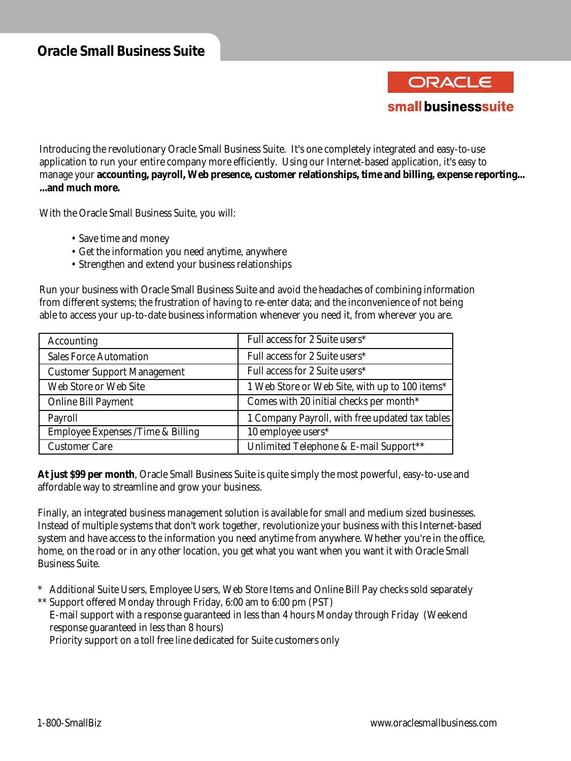ORACLE small businesssuite

Introducing the revolutionary Oracle Small Business Suite. It's one completely integrated and easy-to-use application to run your entire company more efficiently. Using our Internet-based application, it's easy to manage your **accounting, payroll, Web presence, customer relationships, time and billing, expense reporting... ...and much more.**

With the Oracle Small Business Suite, you will:

- Save time and money
- Get the information you need anytime, anywhere
- Strengthen and extend your business relationships

Run your business with Oracle Small Business Suite and avoid the headaches of combining information from different systems; the frustration of having to re-enter data; and the inconvenience of not being able to access your up-to-date business information whenever you need it, from wherever you are.

| Accounting                         | Full access for 2 Suite users*                  |
|------------------------------------|-------------------------------------------------|
| <b>Sales Force Automation</b>      | Full access for 2 Suite users*                  |
| <b>Customer Support Management</b> | Full access for 2 Suite users*                  |
| Web Store or Web Site              | 1 Web Store or Web Site, with up to 100 items*  |
| <b>Online Bill Payment</b>         | Comes with 20 initial checks per month*         |
| Payroll                            | 1 Company Payroll, with free updated tax tables |
| Employee Expenses /Time & Billing  | 10 employee users*                              |
| <b>Customer Care</b>               | Unlimited Telephone & E-mail Support**          |

**At just \$99 per month**, Oracle Small Business Suite is quite simply the most powerful, easy-to-use and affordable way to streamline and grow your business.

Finally, an integrated business management solution is available for small and medium sized businesses. Instead of multiple systems that don't work together, revolutionize your business with this Internet-based system and have access to the information you need anytime from anywhere. Whether you're in the office, home, on the road or in any other location, you get what you want when you want it with Oracle Small Business Suite.

- \* Additional Suite Users, Employee Users, Web Store Items and Online Bill Pay checks sold separately \*\* Support offered Monday through Friday, 6:00 am to 6:00 pm (PST)
	- E-mail support with a response guaranteed in less than 4 hours Monday through Friday (Weekend response guaranteed in less than 8 hours)

Priority support on a toll free line dedicated for Suite customers only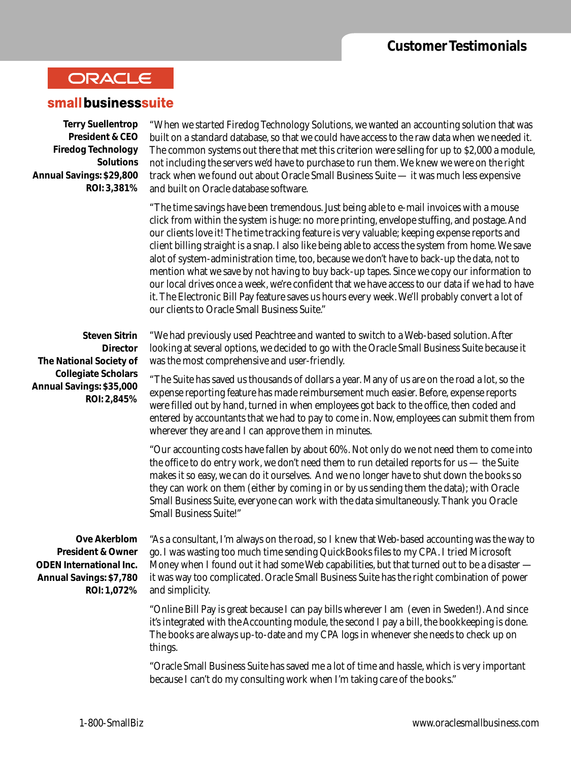# ORACLE

## small businesssuite

**Terry Suellentrop President & CEO Firedog Technology Solutions Annual Savings: \$29,800 ROI: 3,381%**

"When we started Firedog Technology Solutions, we wanted an accounting solution that was built on a standard database, so that we could have access to the raw data when we needed it. The common systems out there that met this criterion were selling for up to \$2,000 a module, not including the servers we'd have to purchase to run them. We knew we were on the right track when we found out about Oracle Small Business Suite — it was much less expensive and built on Oracle database software.

"The time savings have been tremendous. Just being able to e-mail invoices with a mouse click from within the system is huge: no more printing, envelope stuffing, and postage. And our clients love it! The time tracking feature is very valuable; keeping expense reports and client billing straight is a snap. I also like being able to access the system from home. We save alot of system-administration time, too, because we don't have to back-up the data, not to mention what we save by not having to buy back-up tapes. Since we copy our information to our local drives once a week, we're confident that we have access to our data if we had to have it. The Electronic Bill Pay feature saves us hours every week. We'll probably convert a lot of our clients to Oracle Small Business Suite."

**Steven Sitrin Director The National Society of Collegiate Scholars Annual Savings: \$35,000 ROI: 2,845%**

"We had previously used Peachtree and wanted to switch to a Web-based solution. After looking at several options, we decided to go with the Oracle Small Business Suite because it was the most comprehensive and user-friendly.

"The Suite has saved us thousands of dollars a year. Many of us are on the road a lot, so the expense reporting feature has made reimbursement much easier. Before, expense reports were filled out by hand, turned in when employees got back to the office, then coded and entered by accountants that we had to pay to come in. Now, employees can submit them from wherever they are and I can approve them in minutes.

"Our accounting costs have fallen by about 60%. Not only do we not need them to come into the office to do entry work, we don't need them to run detailed reports for us — the Suite makes it so easy, we can do it ourselves. And we no longer have to shut down the books so they can work on them (either by coming in or by us sending them the data); with Oracle Small Business Suite, everyone can work with the data simultaneously. Thank you Oracle Small Business Suite!"

**Ove Akerblom President & Owner ODEN International Inc. Annual Savings: \$7,780 ROI: 1,072%**

"As a consultant, I'm always on the road, so I knew that Web-based accounting was the way to go. I was wasting too much time sending QuickBooks files to my CPA. I tried Microsoft Money when I found out it had some Web capabilities, but that turned out to be a disaster it was way too complicated. Oracle Small Business Suite has the right combination of power and simplicity.

"Online Bill Pay is great because I can pay bills wherever I am (even in Sweden!). And since it's integrated with the Accounting module, the second I pay a bill, the bookkeeping is done. The books are always up-to-date and my CPA logs in whenever she needs to check up on things.

"Oracle Small Business Suite has saved me a lot of time and hassle, which is very important because I can't do my consulting work when I'm taking care of the books."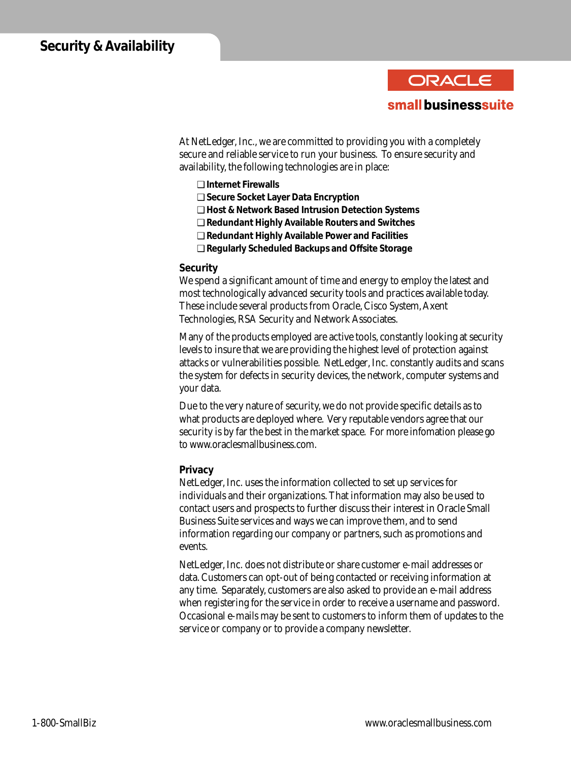

At NetLedger, Inc., we are committed to providing you with a completely secure and reliable service to run your business. To ensure security and availability, the following technologies are in place:

- ❑ **Internet Firewalls**
- ❑ **Secure Socket Layer Data Encryption**
- ❑ **Host & Network Based Intrusion Detection Systems**
- ❑ **Redundant Highly Available Routers and Switches**
- ❑ **Redundant Highly Available Power and Facilities**
- ❑ **Regularly Scheduled Backups and Offsite Storage**

### **Security**

We spend a significant amount of time and energy to employ the latest and most technologically advanced security tools and practices available today. These include several products from Oracle, Cisco System, Axent Technologies, RSA Security and Network Associates.

Many of the products employed are active tools, constantly looking at security levels to insure that we are providing the highest level of protection against attacks or vulnerabilities possible. NetLedger, Inc. constantly audits and scans the system for defects in security devices, the network, computer systems and your data.

Due to the very nature of security, we do not provide specific details as to what products are deployed where. Very reputable vendors agree that our security is by far the best in the market space. For more infomation please go to www.oraclesmallbusiness.com.

### **Privacy**

NetLedger, Inc. uses the information collected to set up services for individuals and their organizations. That information may also be used to contact users and prospects to further discuss their interest in Oracle Small Business Suite services and ways we can improve them, and to send information regarding our company or partners, such as promotions and events.

NetLedger, Inc. does not distribute or share customer e-mail addresses or data. Customers can opt-out of being contacted or receiving information at any time. Separately, customers are also asked to provide an e-mail address when registering for the service in order to receive a username and password. Occasional e-mails may be sent to customers to inform them of updates to the service or company or to provide a company newsletter.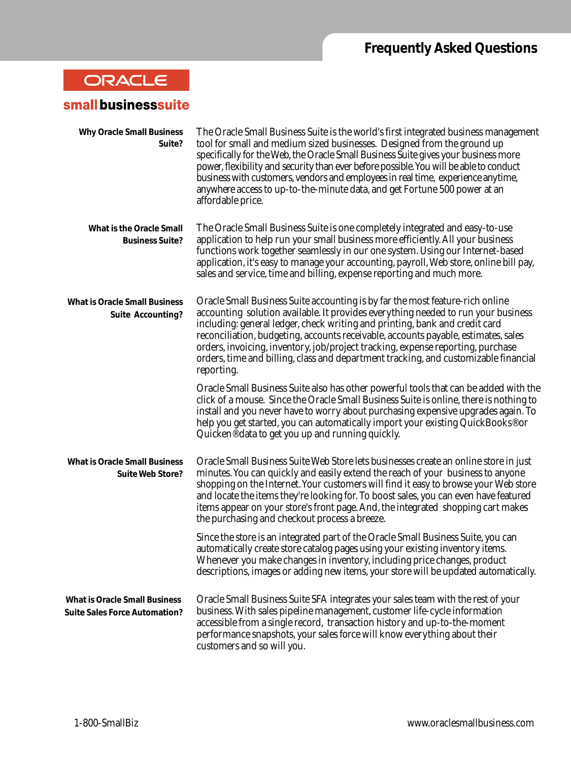# **Frequently Asked Questions**

# ORACLE

# small businesssuite

| <b>Why Oracle Small Business</b><br>Suite?                                   | The Oracle Small Business Suite is the world's first integrated business management<br>tool for small and medium sized businesses. Designed from the ground up<br>specifically for the Web, the Oracle Small Business Suite gives your business more<br>power, flexibility and security than ever before possible. You will be able to conduct<br>business with customers, vendors and employees in real time, experience anytime,<br>anywhere access to up-to-the-minute data, and get Fortune 500 power at an<br>affordable price. |
|------------------------------------------------------------------------------|--------------------------------------------------------------------------------------------------------------------------------------------------------------------------------------------------------------------------------------------------------------------------------------------------------------------------------------------------------------------------------------------------------------------------------------------------------------------------------------------------------------------------------------|
| What is the Oracle Small<br><b>Business Suite?</b>                           | The Oracle Small Business Suite is one completely integrated and easy-to-use<br>application to help run your small business more efficiently. All your business<br>functions work together seamlessly in our one system. Using our Internet-based<br>application, it's easy to manage your accounting, payroll, Web store, online bill pay,<br>sales and service, time and billing, expense reporting and much more.                                                                                                                 |
| <b>What is Oracle Small Business</b><br><b>Suite Accounting?</b>             | Oracle Small Business Suite accounting is by far the most feature-rich online<br>accounting solution available. It provides everything needed to run your business<br>including: general ledger, check writing and printing, bank and credit card<br>reconciliation, budgeting, accounts receivable, accounts payable, estimates, sales<br>orders, invoicing, inventory, job/project tracking, expense reporting, purchase<br>orders, time and billing, class and department tracking, and customizable financial<br>reporting.      |
|                                                                              | Oracle Small Business Suite also has other powerful tools that can be added with the<br>click of a mouse. Since the Oracle Small Business Suite is online, there is nothing to<br>install and you never have to worry about purchasing expensive upgrades again. To<br>help you get started, you can automatically import your existing QuickBooks <sup>®</sup> or<br>Quicken <sup>®</sup> data to get you up and running quickly.                                                                                                   |
| <b>What is Oracle Small Business</b><br>Suite Web Store?                     | Oracle Small Business Suite Web Store lets businesses create an online store in just<br>minutes. You can quickly and easily extend the reach of your business to anyone<br>shopping on the Internet. Your customers will find it easy to browse your Web store<br>and locate the items they're looking for. To boost sales, you can even have featured<br>items appear on your store's front page. And, the integrated shopping cart makes<br>the purchasing and checkout process a breeze.                                          |
|                                                                              | Since the store is an integrated part of the Oracle Small Business Suite, you can<br>automatically create store catalog pages using your existing inventory items.<br>Whenever you make changes in inventory, including price changes, product<br>descriptions, images or adding new items, your store will be updated automatically.                                                                                                                                                                                                |
| <b>What is Oracle Small Business</b><br><b>Suite Sales Force Automation?</b> | Oracle Small Business Suite SFA integrates your sales team with the rest of your<br>business. With sales pipeline management, customer life-cycle information<br>accessible from a single record, transaction history and up-to-the-moment<br>performance snapshots, your sales force will know everything about their<br>customers and so will you.                                                                                                                                                                                 |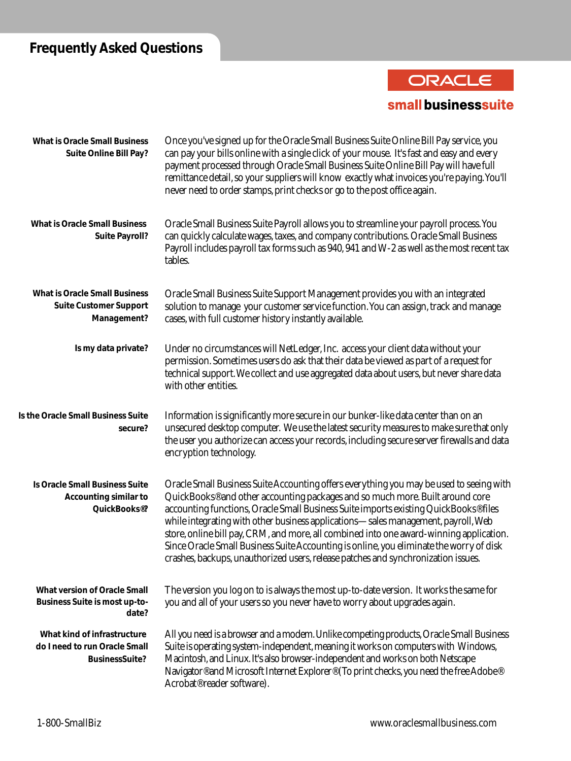# **Frequently Asked Questions**

# ORACLE small businesssuite

| <b>What is Oracle Small Business</b><br>Suite Online Bill Pay?                              | Once you've signed up for the Oracle Small Business Suite Online Bill Pay service, you<br>can pay your bills online with a single click of your mouse. It's fast and easy and every<br>payment processed through Oracle Small Business Suite Online Bill Pay will have full<br>remittance detail, so your suppliers will know exactly what invoices you're paying. You'll<br>never need to order stamps, print checks or go to the post office again.                                                                                                                                                                                        |
|---------------------------------------------------------------------------------------------|----------------------------------------------------------------------------------------------------------------------------------------------------------------------------------------------------------------------------------------------------------------------------------------------------------------------------------------------------------------------------------------------------------------------------------------------------------------------------------------------------------------------------------------------------------------------------------------------------------------------------------------------|
| <b>What is Oracle Small Business</b><br><b>Suite Payroll?</b>                               | Oracle Small Business Suite Payroll allows you to streamline your payroll process. You<br>can quickly calculate wages, taxes, and company contributions. Oracle Small Business<br>Payroll includes payroll tax forms such as 940, 941 and W-2 as well as the most recent tax<br>tables.                                                                                                                                                                                                                                                                                                                                                      |
| <b>What is Oracle Small Business</b><br><b>Suite Customer Support</b><br>Management?        | Oracle Small Business Suite Support Management provides you with an integrated<br>solution to manage your customer service function. You can assign, track and manage<br>cases, with full customer history instantly available.                                                                                                                                                                                                                                                                                                                                                                                                              |
| Is my data private?                                                                         | Under no circumstances will NetLedger, Inc. access your client data without your<br>permission. Sometimes users do ask that their data be viewed as part of a request for<br>technical support. We collect and use aggregated data about users, but never share data<br>with other entities.                                                                                                                                                                                                                                                                                                                                                 |
| Is the Oracle Small Business Suite<br>secure?                                               | Information is significantly more secure in our bunker-like data center than on an<br>unsecured desktop computer. We use the latest security measures to make sure that only<br>the user you authorize can access your records, including secure server firewalls and data<br>encryption technology.                                                                                                                                                                                                                                                                                                                                         |
| Is Oracle Small Business Suite<br><b>Accounting similar to</b><br>QuickBooks <sup>®</sup> ? | Oracle Small Business Suite Accounting offers everything you may be used to seeing with<br>QuickBooks <sup>®</sup> and other accounting packages and so much more. Built around core<br>accounting functions, Oracle Small Business Suite imports existing QuickBooks® files<br>while integrating with other business applications-sales management, payroll, Web<br>store, online bill pay, CRM, and more, all combined into one award-winning application.<br>Since Oracle Small Business Suite Accounting is online, you eliminate the worry of disk<br>crashes, backups, unauthorized users, release patches and synchronization issues. |
| <b>What version of Oracle Small</b><br><b>Business Suite is most up-to-</b><br>date?        | The version you log on to is always the most up-to-date version. It works the same for<br>you and all of your users so you never have to worry about upgrades again.                                                                                                                                                                                                                                                                                                                                                                                                                                                                         |
| What kind of infrastructure<br>do I need to run Oracle Small<br><b>BusinessSuite?</b>       | All you need is a browser and a modem. Unlike competing products, Oracle Small Business<br>Suite is operating system-independent, meaning it works on computers with Windows,<br>Macintosh, and Linux. It's also browser-independent and works on both Netscape<br>Navigator® and Microsoft Internet Explorer® (To print checks, you need the free Adobe®<br>Acrobat <sup>®</sup> reader software).                                                                                                                                                                                                                                          |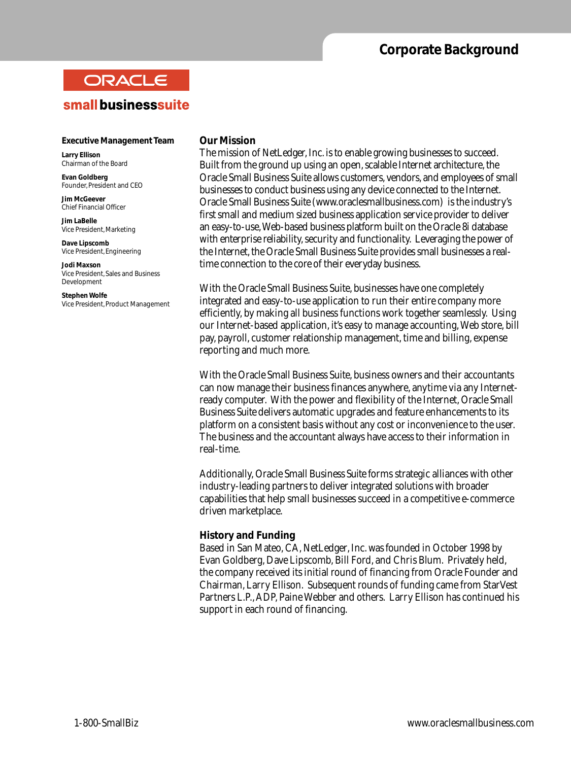# **Corporate Background**

# ORACLE

## small businesssuite

### **Executive Management Team**

**Larry Ellison** Chairman of the Board

**Evan Goldberg** Founder, President and CEO

**Jim McGeever** Chief Financial Officer

**Jim LaBelle** Vice President, Marketing

**Dave Lipscomb** Vice President, Engineering

**Jodi Maxson** Vice President, Sales and Business Development

**Stephen Wolfe** Vice President, Product Management

### **Our Mission**

The mission of NetLedger, Inc. is to enable growing businesses to succeed. Built from the ground up using an open, scalable Internet architecture, the Oracle Small Business Suite allows customers, vendors, and employees of small businesses to conduct business using any device connected to the Internet. Oracle Small Business Suite (www.oraclesmallbusiness.com) is the industry's first small and medium sized business application service provider to deliver an easy-to-use, Web-based business platform built on the Oracle 8i database with enterprise reliability, security and functionality. Leveraging the power of the Internet, the Oracle Small Business Suite provides small businesses a realtime connection to the core of their everyday business.

With the Oracle Small Business Suite, businesses have one completely integrated and easy-to-use application to run their entire company more efficiently, by making all business functions work together seamlessly. Using our Internet-based application, it's easy to manage accounting, Web store, bill pay, payroll, customer relationship management, time and billing, expense reporting and much more.

With the Oracle Small Business Suite, business owners and their accountants can now manage their business finances anywhere, anytime via any Internetready computer. With the power and flexibility of the Internet, Oracle Small Business Suite delivers automatic upgrades and feature enhancements to its platform on a consistent basis without any cost or inconvenience to the user. The business and the accountant always have access to their information in real-time.

Additionally, Oracle Small Business Suite forms strategic alliances with other industry-leading partners to deliver integrated solutions with broader capabilities that help small businesses succeed in a competitive e-commerce driven marketplace.

## **History and Funding**

Based in San Mateo, CA, NetLedger, Inc. was founded in October 1998 by Evan Goldberg, Dave Lipscomb, Bill Ford, and Chris Blum. Privately held, the company received its initial round of financing from Oracle Founder and Chairman, Larry Ellison. Subsequent rounds of funding came from StarVest Partners L.P., ADP, Paine Webber and others. Larry Ellison has continued his support in each round of financing.